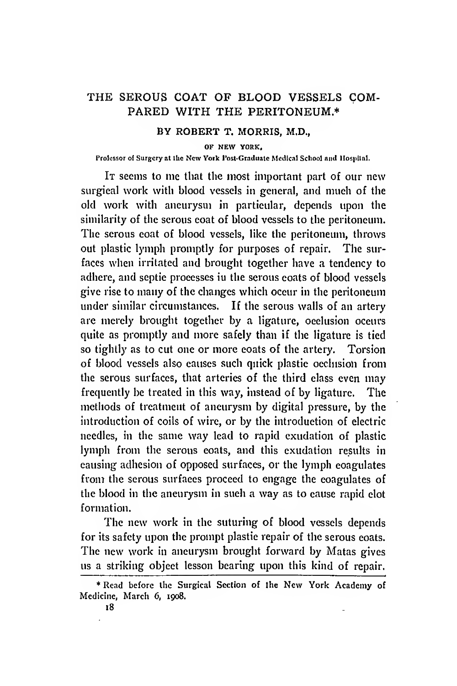## THE SEROUS COAT OF BLOOD VESSELS COM-PARED WITH THE PERITONEUM.\*

## BY ROBERT T. MORRIS, M.D.,

OF NEW YORK,

## Professor of Surgery at the New York Post-Graduate Medical School and Hospital.

It seems to me that the most important part of our new surgical work witli blood vessels in general, and much of the old work with aneurysm in particular, depends upon the similarity of the serous coat of blood vessels to the peritoneum. The serous coat of blood vessels, like the peritoneum, throws out plastic lymph promptly for purposes of repair. The surfaces when irritated and brought together have a tendency to adhere, and septic processes in the serous coats of blood vessels give rise to many of the changes which occur in the peritoneum under similar circumstances. If the serous walls of an artery are merely brought together by a ligature, occlusion occurs quite as promptly and more safely than if the ligature is tied so tightly as to cut one or more coats of the artery. Torsion of blood vessels also causes such quick plastic occlusion from the serous surfaces, that arteries of the third class even may frequently be treated in this way, instead of by ligature. The methods of treatment of aneurysm by digital pressure, by the introduction of coils of wire, or by the introduction of electric needles, in the same way lead to rapid exudation of plastic lymph from the serous coats, and this exudation results in causing adhesion of opposed surfaces, or the lymph coagulates from the serous surfaces proceed to engage the coagulates of the blood in the aneurysm in such a way as to cause rapid clot formation.

The new work in the suturing of blood vessels depends for its safety upon the prompt plastic repair of the serous coats. The new work in aneurysm brought forward by Matas gives us a striking object lesson bearing upon this kind of repair.

<sup>\*</sup> Read before the Surgical Section of the New York Academy of Medicine, March 6, 1908.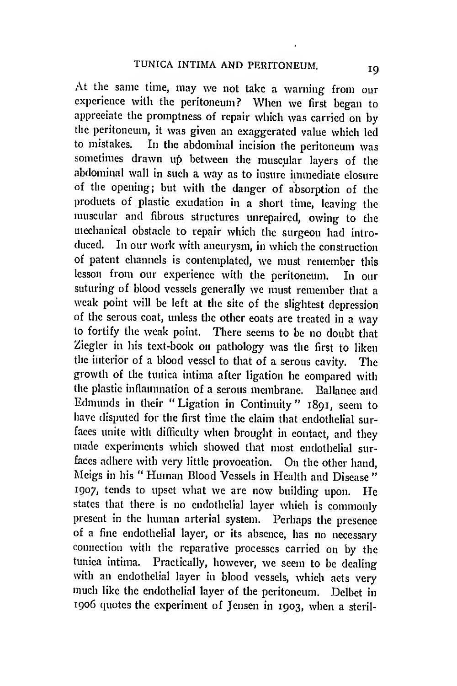At the same time, may we not take a warning from our experience with the peritoneum? When we first began to appreciate the promptness of repair which was carried on by the peritoneum, it was given an exaggerated value which led In the abdominal incision the peritoneum was sometimes drawn up between the muscular layers of the abdominal wall in such a way as to insure immediate closure of the opening; but with the danger of absorption of the products of plastic exudation in a short time, leaving the muscular and fibrous structures unrepaired, owing to the mechanical obstacle to repair which the surgeon had introduced. In our work with aneurysm, in which the construction of patent channels is contemplated, we must remember this lesson from our experience with the peritoneum. In our suturing of blood vessels generally we must remember that a weak point will be left at the site of the slightest depression of the serous coat, unless the other coats are treated in a way to fortify the weak point. There seems to be no doubt that Ziegler in his text-book on pathology was the first to liken the interior of a blood vessel to that of a serous cavity. The growth of the tunica intima after ligation he compared with the plastic inflammation of a serous membrane. Ballance and Edmunds in their "Ligation in Continuity" 1891, seem to have disputed for the first time the elaim that endothelial surfaces unite with difficulty when brought in contact, and they made experiments which showed that most endothelial surfaces adhere with very little provocation. On the other hand, Meigs in his " Human Blood Vessels in Health and Disease " 1907, tends to upset what we are now building upon. He states that there is no endothelial layer which is commonly present in the human arterial system. Perhaps the presence of a fine endothelial layer, or its absence, has no necessary connection with the reparative processes carried on by the tunica intima. Practically, however, we seem to be dealing with an endothelial layer in blood vessels, which acts very much like the endothelial layer of the peritoneum. Delbet in 1906 quotes the experiment of Jensen in 1903, when a steril-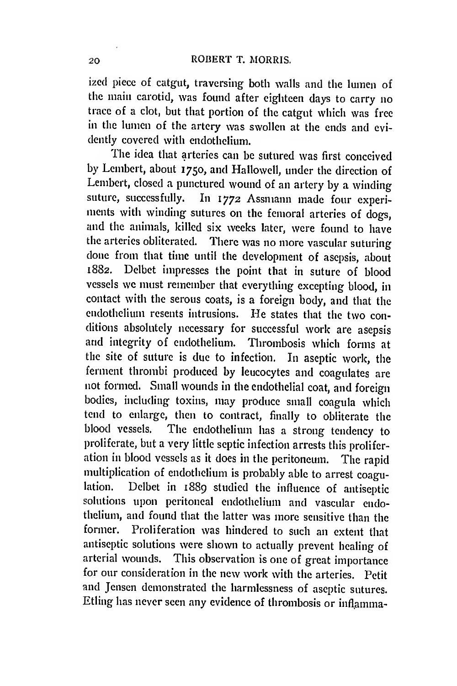ized piece of catgut, traversing both walls and the lumen of the main carotid, was found after eighteen days to carry no trace of a clot, but that portion of the catgut which was free in the lumen of the artery was swollen at the ends and evidently covered with endothelium.

The idea that arteries can be sutured was first conceived by Lembert, about 1750, and Hallowed, under the direction of Lembert, closed a punctured wound of an artery by a winding suture, successfully. In 1772 Assmann made four experiments with winding sutures on the femoral arteries of dogs, and the animals, killed six weeks later, were found to have the arteries obliterated. There was no more vascular suturing done from that time until the development of asepsis, about 1882. Delbet impresses the point that in suture of blood vessels we must remember that everything excepting blood, in contact with the serous coats, is a foreign body, and that the endothelium resents intrusions. He states that the two conditions absolutely necessary for successful work are asepsis and integrity of endothelium. Thrombosis which forms at the site of suture is due to infection. In aseptic work, the ferment thrombi produced by leucocytes and coagulates are not formed. Small wounds in the endothelial coat, and foreign bodies, including toxins, may produce small coagula which tend to enlarge, then to contract, finally to obliterate the blood vessels. The endothelium has a strong tendency to proliferate, but a very little septic infection arrests this proliferation in blood vessels as it does in the peritoneum. The rapid multiplication of endothelium is probably able to arrest coagu-<br>lation. Delbet in 1880 studied the influence of antipartic Delbet in 1889 studied the influence of antiseptic solutions upon peritoneal endothelium and vascular endothelium, and found that the latter was more sensitive than the former. Proliferation was hindered to such an extent that antiseptic solutions were shown to actually prevent healing of arterial wounds. This observation is one of great importance for our consideration in the new work with the arteries. Petit and Jensen demonstrated the harmlessness of aseptic sutures. Etling has never seen any evidence of thrombosis or inflamma